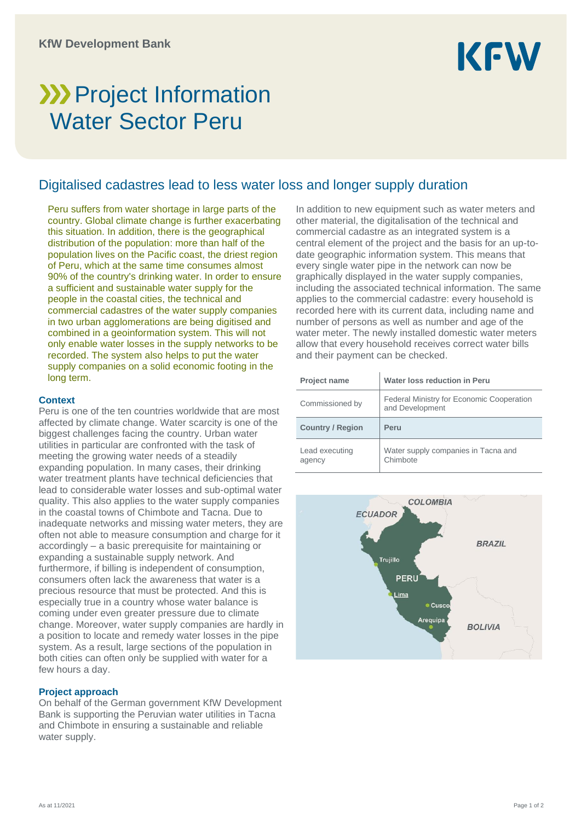

# **>>>>** Project Information Water Sector Peru

# Digitalised cadastres lead to less water loss and longer supply duration

Peru suffers from water shortage in large parts of the country. Global climate change is further exacerbating this situation. In addition, there is the geographical distribution of the population: more than half of the population lives on the Pacific coast, the driest region of Peru, which at the same time consumes almost 90% of the country's drinking water. In order to ensure a sufficient and sustainable water supply for the people in the coastal cities, the technical and commercial cadastres of the water supply companies in two urban agglomerations are being digitised and combined in a geoinformation system. This will not only enable water losses in the supply networks to be recorded. The system also helps to put the water supply companies on a solid economic footing in the long term.

#### **Context**

Peru is one of the ten countries worldwide that are most affected by climate change. Water scarcity is one of the biggest challenges facing the country. Urban water utilities in particular are confronted with the task of meeting the growing water needs of a steadily expanding population. In many cases, their drinking water treatment plants have technical deficiencies that lead to considerable water losses and sub-optimal water quality. This also applies to the water supply companies in the coastal towns of Chimbote and Tacna. Due to inadequate networks and missing water meters, they are often not able to measure consumption and charge for it accordingly – a basic prerequisite for maintaining or expanding a sustainable supply network. And furthermore, if billing is independent of consumption, consumers often lack the awareness that water is a precious resource that must be protected. And this is especially true in a country whose water balance is coming under even greater pressure due to climate change. Moreover, water supply companies are hardly in a position to locate and remedy water losses in the pipe system. As a result, large sections of the population in both cities can often only be supplied with water for a few hours a day.

### **Project approach**

On behalf of the German government KfW Development Bank is supporting the Peruvian water utilities in Tacna and Chimbote in ensuring a sustainable and reliable water supply.

In addition to new equipment such as water meters and other material, the digitalisation of the technical and commercial cadastre as an integrated system is a central element of the project and the basis for an up-todate geographic information system. This means that every single water pipe in the network can now be graphically displayed in the water supply companies, including the associated technical information. The same applies to the commercial cadastre: every household is recorded here with its current data, including name and number of persons as well as number and age of the water meter. The newly installed domestic water meters allow that every household receives correct water bills and their payment can be checked.

| <b>Project name</b>     | Water loss reduction in Peru                                 |
|-------------------------|--------------------------------------------------------------|
| Commissioned by         | Federal Ministry for Economic Cooperation<br>and Development |
|                         |                                                              |
| <b>Country / Region</b> | Peru                                                         |